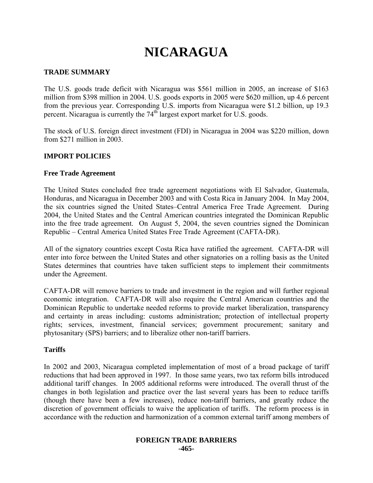# **NICARAGUA**

## **TRADE SUMMARY**

The U.S. goods trade deficit with Nicaragua was \$561 million in 2005, an increase of \$163 million from \$398 million in 2004. U.S. goods exports in 2005 were \$620 million, up 4.6 percent from the previous year. Corresponding U.S. imports from Nicaragua were \$1.2 billion, up 19.3 percent. Nicaragua is currently the 74<sup>th</sup> largest export market for U.S. goods.

The stock of U.S. foreign direct investment (FDI) in Nicaragua in 2004 was \$220 million, down from \$271 million in 2003.

## **IMPORT POLICIES**

## **Free Trade Agreement**

The United States concluded free trade agreement negotiations with El Salvador, Guatemala, Honduras, and Nicaragua in December 2003 and with Costa Rica in January 2004. In May 2004, the six countries signed the United States–Central America Free Trade Agreement. During 2004, the United States and the Central American countries integrated the Dominican Republic into the free trade agreement. On August 5, 2004, the seven countries signed the Dominican Republic – Central America United States Free Trade Agreement (CAFTA-DR).

All of the signatory countries except Costa Rica have ratified the agreement. CAFTA-DR will enter into force between the United States and other signatories on a rolling basis as the United States determines that countries have taken sufficient steps to implement their commitments under the Agreement.

CAFTA-DR will remove barriers to trade and investment in the region and will further regional economic integration. CAFTA-DR will also require the Central American countries and the Dominican Republic to undertake needed reforms to provide market liberalization, transparency and certainty in areas including: customs administration; protection of intellectual property rights; services, investment, financial services; government procurement; sanitary and phytosanitary (SPS) barriers; and to liberalize other non-tariff barriers.

#### **Tariffs**

In 2002 and 2003, Nicaragua completed implementation of most of a broad package of tariff reductions that had been approved in 1997. In those same years, two tax reform bills introduced additional tariff changes. In 2005 additional reforms were introduced. The overall thrust of the changes in both legislation and practice over the last several years has been to reduce tariffs (though there have been a few increases), reduce non-tariff barriers, and greatly reduce the discretion of government officials to waive the application of tariffs. The reform process is in accordance with the reduction and harmonization of a common external tariff among members of

### **FOREIGN TRADE BARRIERS -465-**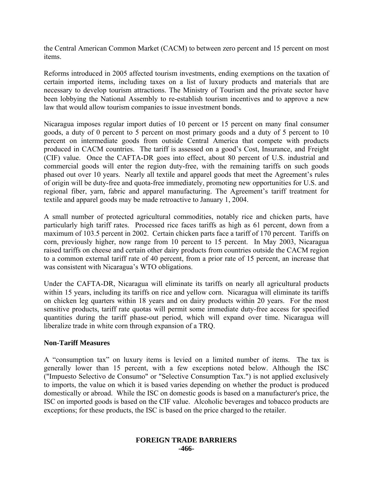the Central American Common Market (CACM) to between zero percent and 15 percent on most items.

Reforms introduced in 2005 affected tourism investments, ending exemptions on the taxation of certain imported items, including taxes on a list of luxury products and materials that are necessary to develop tourism attractions. The Ministry of Tourism and the private sector have been lobbying the National Assembly to re-establish tourism incentives and to approve a new law that would allow tourism companies to issue investment bonds.

Nicaragua imposes regular import duties of 10 percent or 15 percent on many final consumer goods, a duty of 0 percent to 5 percent on most primary goods and a duty of 5 percent to 10 percent on intermediate goods from outside Central America that compete with products produced in CACM countries. The tariff is assessed on a good's Cost, Insurance, and Freight (CIF) value. Once the CAFTA-DR goes into effect, about 80 percent of U.S. industrial and commercial goods will enter the region duty-free, with the remaining tariffs on such goods phased out over 10 years. Nearly all textile and apparel goods that meet the Agreement's rules of origin will be duty-free and quota-free immediately, promoting new opportunities for U.S. and regional fiber, yarn, fabric and apparel manufacturing. The Agreement's tariff treatment for textile and apparel goods may be made retroactive to January 1, 2004.

A small number of protected agricultural commodities, notably rice and chicken parts, have particularly high tariff rates. Processed rice faces tariffs as high as 61 percent, down from a maximum of 103.5 percent in 2002. Certain chicken parts face a tariff of 170 percent. Tariffs on corn, previously higher, now range from 10 percent to 15 percent. In May 2003, Nicaragua raised tariffs on cheese and certain other dairy products from countries outside the CACM region to a common external tariff rate of 40 percent, from a prior rate of 15 percent, an increase that was consistent with Nicaragua's WTO obligations.

Under the CAFTA-DR, Nicaragua will eliminate its tariffs on nearly all agricultural products within 15 years, including its tariffs on rice and yellow corn. Nicaragua will eliminate its tariffs on chicken leg quarters within 18 years and on dairy products within 20 years. For the most sensitive products, tariff rate quotas will permit some immediate duty-free access for specified quantities during the tariff phase-out period, which will expand over time. Nicaragua will liberalize trade in white corn through expansion of a TRQ.

## **Non-Tariff Measures**

A "consumption tax" on luxury items is levied on a limited number of items. The tax is generally lower than 15 percent, with a few exceptions noted below. Although the ISC ("Impuesto Selectivo de Consumo" or "Selective Consumption Tax.") is not applied exclusively to imports, the value on which it is based varies depending on whether the product is produced domestically or abroad. While the ISC on domestic goods is based on a manufacturer's price, the ISC on imported goods is based on the CIF value. Alcoholic beverages and tobacco products are exceptions; for these products, the ISC is based on the price charged to the retailer.

#### **FOREIGN TRADE BARRIERS -466-**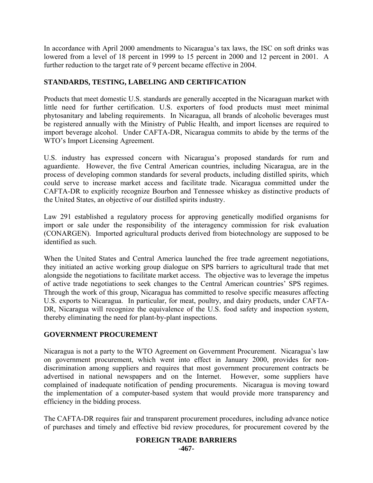In accordance with April 2000 amendments to Nicaragua's tax laws, the ISC on soft drinks was lowered from a level of 18 percent in 1999 to 15 percent in 2000 and 12 percent in 2001. A further reduction to the target rate of 9 percent became effective in 2004.

# **STANDARDS, TESTING, LABELING AND CERTIFICATION**

Products that meet domestic U.S. standards are generally accepted in the Nicaraguan market with little need for further certification. U.S. exporters of food products must meet minimal phytosanitary and labeling requirements. In Nicaragua, all brands of alcoholic beverages must be registered annually with the Ministry of Public Health, and import licenses are required to import beverage alcohol. Under CAFTA-DR, Nicaragua commits to abide by the terms of the WTO's Import Licensing Agreement.

U.S. industry has expressed concern with Nicaragua's proposed standards for rum and aguardiente. However, the five Central American countries, including Nicaragua, are in the process of developing common standards for several products, including distilled spirits, which could serve to increase market access and facilitate trade. Nicaragua committed under the CAFTA-DR to explicitly recognize Bourbon and Tennessee whiskey as distinctive products of the United States, an objective of our distilled spirits industry.

Law 291 established a regulatory process for approving genetically modified organisms for import or sale under the responsibility of the interagency commission for risk evaluation (CONARGEN). Imported agricultural products derived from biotechnology are supposed to be identified as such.

When the United States and Central America launched the free trade agreement negotiations, they initiated an active working group dialogue on SPS barriers to agricultural trade that met alongside the negotiations to facilitate market access. The objective was to leverage the impetus of active trade negotiations to seek changes to the Central American countries' SPS regimes. Through the work of this group, Nicaragua has committed to resolve specific measures affecting U.S. exports to Nicaragua. In particular, for meat, poultry, and dairy products, under CAFTA-DR, Nicaragua will recognize the equivalence of the U.S. food safety and inspection system, thereby eliminating the need for plant-by-plant inspections.

# **GOVERNMENT PROCUREMENT**

Nicaragua is not a party to the WTO Agreement on Government Procurement. Nicaragua's law on government procurement, which went into effect in January 2000, provides for nondiscrimination among suppliers and requires that most government procurement contracts be advertised in national newspapers and on the Internet. However, some suppliers have complained of inadequate notification of pending procurements. Nicaragua is moving toward the implementation of a computer-based system that would provide more transparency and efficiency in the bidding process.

The CAFTA-DR requires fair and transparent procurement procedures, including advance notice of purchases and timely and effective bid review procedures, for procurement covered by the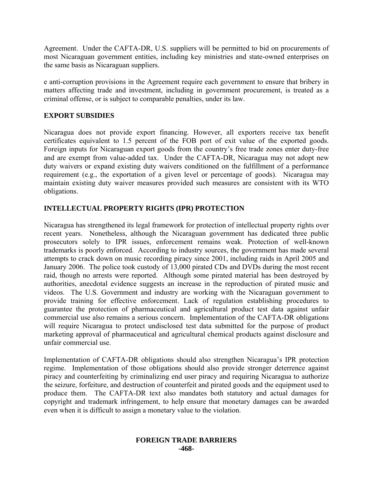Agreement. Under the CAFTA-DR, U.S. suppliers will be permitted to bid on procurements of most Nicaraguan government entities, including key ministries and state-owned enterprises on the same basis as Nicaraguan suppliers.

e anti-corruption provisions in the Agreement require each government to ensure that bribery in matters affecting trade and investment, including in government procurement, is treated as a criminal offense, or is subject to comparable penalties, under its law.

# **EXPORT SUBSIDIES**

Nicaragua does not provide export financing. However, all exporters receive tax benefit certificates equivalent to 1.5 percent of the FOB port of exit value of the exported goods. Foreign inputs for Nicaraguan export goods from the country's free trade zones enter duty-free and are exempt from value-added tax. Under the CAFTA-DR, Nicaragua may not adopt new duty waivers or expand existing duty waivers conditioned on the fulfillment of a performance requirement (e.g., the exportation of a given level or percentage of goods). Nicaragua may maintain existing duty waiver measures provided such measures are consistent with its WTO obligations.

# **INTELLECTUAL PROPERTY RIGHTS (IPR) PROTECTION**

Nicaragua has strengthened its legal framework for protection of intellectual property rights over recent years. Nonetheless, although the Nicaraguan government has dedicated three public prosecutors solely to IPR issues, enforcement remains weak. Protection of well-known trademarks is poorly enforced. According to industry sources, the government has made several attempts to crack down on music recording piracy since 2001, including raids in April 2005 and January 2006. The police took custody of 13,000 pirated CDs and DVDs during the most recent raid, though no arrests were reported. Although some pirated material has been destroyed by authorities, anecdotal evidence suggests an increase in the reproduction of pirated music and videos. The U.S. Government and industry are working with the Nicaraguan government to provide training for effective enforcement. Lack of regulation establishing procedures to guarantee the protection of pharmaceutical and agricultural product test data against unfair commercial use also remains a serious concern. Implementation of the CAFTA-DR obligations will require Nicaragua to protect undisclosed test data submitted for the purpose of product marketing approval of pharmaceutical and agricultural chemical products against disclosure and unfair commercial use.

Implementation of CAFTA-DR obligations should also strengthen Nicaragua's IPR protection regime. Implementation of those obligations should also provide stronger deterrence against piracy and counterfeiting by criminalizing end user piracy and requiring Nicaragua to authorize the seizure, forfeiture, and destruction of counterfeit and pirated goods and the equipment used to produce them. The CAFTA-DR text also mandates both statutory and actual damages for copyright and trademark infringement, to help ensure that monetary damages can be awarded even when it is difficult to assign a monetary value to the violation.

### **FOREIGN TRADE BARRIERS -468-**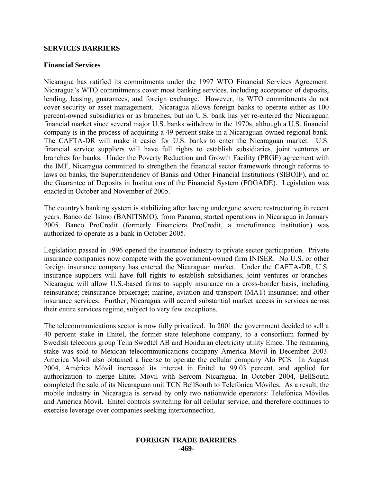### **SERVICES BARRIERS**

### **Financial Services**

Nicaragua has ratified its commitments under the 1997 WTO Financial Services Agreement. Nicaragua's WTO commitments cover most banking services, including acceptance of deposits, lending, leasing, guarantees, and foreign exchange. However, its WTO commitments do not cover security or asset management. Nicaragua allows foreign banks to operate either as 100 percent-owned subsidiaries or as branches, but no U.S. bank has yet re-entered the Nicaraguan financial market since several major U.S. banks withdrew in the 1970s, although a U.S. financial company is in the process of acquiring a 49 percent stake in a Nicaraguan-owned regional bank. The CAFTA-DR will make it easier for U.S. banks to enter the Nicaraguan market. U.S. financial service suppliers will have full rights to establish subsidiaries, joint ventures or branches for banks. Under the Poverty Reduction and Growth Facility (PRGF) agreement with the IMF, Nicaragua committed to strengthen the financial sector framework through reforms to laws on banks, the Superintendency of Banks and Other Financial Institutions (SIBOIF), and on the Guarantee of Deposits in Institutions of the Financial System (FOGADE). Legislation was enacted in October and November of 2005.

The country's banking system is stabilizing after having undergone severe restructuring in recent years. Banco del Istmo (BANITSMO), from Panama, started operations in Nicaragua in January 2005. Banco ProCredit (formerly Financiera ProCredit, a microfinance institution) was authorized to operate as a bank in October 2005.

Legislation passed in 1996 opened the insurance industry to private sector participation. Private insurance companies now compete with the government-owned firm INISER. No U.S. or other foreign insurance company has entered the Nicaraguan market. Under the CAFTA-DR, U.S. insurance suppliers will have full rights to establish subsidiaries, joint ventures or branches. Nicaragua will allow U.S.-based firms to supply insurance on a cross-border basis, including reinsurance; reinsurance brokerage; marine, aviation and transport (MAT) insurance; and other insurance services. Further, Nicaragua will accord substantial market access in services across their entire services regime, subject to very few exceptions.

The telecommunications sector is now fully privatized. In 2001 the government decided to sell a 40 percent stake in Enitel, the former state telephone company, to a consortium formed by Swedish telecoms group Telia Swedtel AB and Honduran electricity utility Emce. The remaining stake was sold to Mexican telecommunications company America Movil in December 2003. America Movil also obtained a license to operate the cellular company Alo PCS. In August 2004, América Móvil increased its interest in Enitel to 99.03 percent, and applied for authorization to merge Enitel Movil with Sercom Nicaragua. In October 2004, BellSouth completed the sale of its Nicaraguan unit TCN BellSouth to Telefónica Móviles. As a result, the mobile industry in Nicaragua is served by only two nationwide operators: Telefónica Móviles and América Móvil. Enitel controls switching for all cellular service, and therefore continues to exercise leverage over companies seeking interconnection.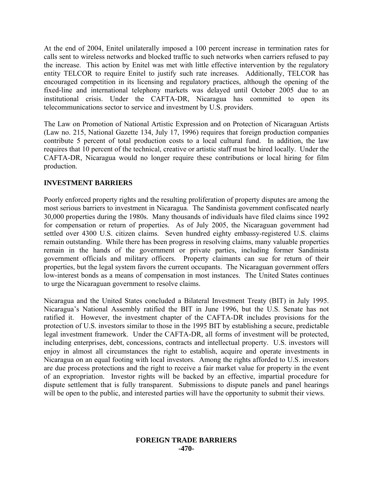At the end of 2004, Enitel unilaterally imposed a 100 percent increase in termination rates for calls sent to wireless networks and blocked traffic to such networks when carriers refused to pay the increase. This action by Enitel was met with little effective intervention by the regulatory entity TELCOR to require Enitel to justify such rate increases. Additionally, TELCOR has encouraged competition in its licensing and regulatory practices, although the opening of the fixed-line and international telephony markets was delayed until October 2005 due to an institutional crisis. Under the CAFTA-DR, Nicaragua has committed to open its telecommunications sector to service and investment by U.S. providers.

The Law on Promotion of National Artistic Expression and on Protection of Nicaraguan Artists (Law no. 215, National Gazette 134, July 17, 1996) requires that foreign production companies contribute 5 percent of total production costs to a local cultural fund. In addition, the law requires that 10 percent of the technical, creative or artistic staff must be hired locally. Under the CAFTA-DR, Nicaragua would no longer require these contributions or local hiring for film production.

# **INVESTMENT BARRIERS**

Poorly enforced property rights and the resulting proliferation of property disputes are among the most serious barriers to investment in Nicaragua. The Sandinista government confiscated nearly 30,000 properties during the 1980s. Many thousands of individuals have filed claims since 1992 for compensation or return of properties. As of July 2005, the Nicaraguan government had settled over 4300 U.S. citizen claims. Seven hundred eighty embassy-registered U.S. claims remain outstanding. While there has been progress in resolving claims, many valuable properties remain in the hands of the government or private parties, including former Sandinista government officials and military officers. Property claimants can sue for return of their properties, but the legal system favors the current occupants. The Nicaraguan government offers low-interest bonds as a means of compensation in most instances. The United States continues to urge the Nicaraguan government to resolve claims.

Nicaragua and the United States concluded a Bilateral Investment Treaty (BIT) in July 1995. Nicaragua's National Assembly ratified the BIT in June 1996, but the U.S. Senate has not ratified it. However, the investment chapter of the CAFTA-DR includes provisions for the protection of U.S. investors similar to those in the 1995 BIT by establishing a secure, predictable legal investment framework. Under the CAFTA-DR, all forms of investment will be protected, including enterprises, debt, concessions, contracts and intellectual property. U.S. investors will enjoy in almost all circumstances the right to establish, acquire and operate investments in Nicaragua on an equal footing with local investors. Among the rights afforded to U.S. investors are due process protections and the right to receive a fair market value for property in the event of an expropriation. Investor rights will be backed by an effective, impartial procedure for dispute settlement that is fully transparent. Submissions to dispute panels and panel hearings will be open to the public, and interested parties will have the opportunity to submit their views.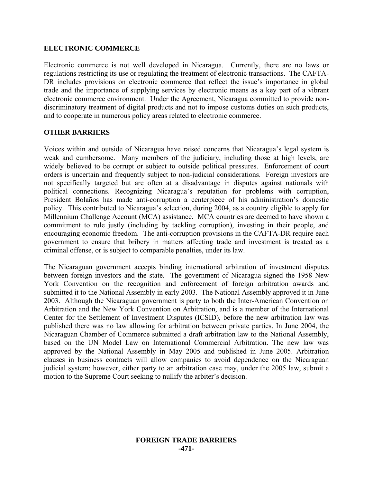## **ELECTRONIC COMMERCE**

Electronic commerce is not well developed in Nicaragua. Currently, there are no laws or regulations restricting its use or regulating the treatment of electronic transactions. The CAFTA-DR includes provisions on electronic commerce that reflect the issue's importance in global trade and the importance of supplying services by electronic means as a key part of a vibrant electronic commerce environment. Under the Agreement, Nicaragua committed to provide nondiscriminatory treatment of digital products and not to impose customs duties on such products, and to cooperate in numerous policy areas related to electronic commerce.

## **OTHER BARRIERS**

Voices within and outside of Nicaragua have raised concerns that Nicaragua's legal system is weak and cumbersome. Many members of the judiciary, including those at high levels, are widely believed to be corrupt or subject to outside political pressures. Enforcement of court orders is uncertain and frequently subject to non-judicial considerations. Foreign investors are not specifically targeted but are often at a disadvantage in disputes against nationals with political connections. Recognizing Nicaragua's reputation for problems with corruption, President Bolaños has made anti-corruption a centerpiece of his administration's domestic policy. This contributed to Nicaragua's selection, during 2004, as a country eligible to apply for Millennium Challenge Account (MCA) assistance. MCA countries are deemed to have shown a commitment to rule justly (including by tackling corruption), investing in their people, and encouraging economic freedom. The anti-corruption provisions in the CAFTA-DR require each government to ensure that bribery in matters affecting trade and investment is treated as a criminal offense, or is subject to comparable penalties, under its law.

The Nicaraguan government accepts binding international arbitration of investment disputes between foreign investors and the state. The government of Nicaragua signed the 1958 New York Convention on the recognition and enforcement of foreign arbitration awards and submitted it to the National Assembly in early 2003. The National Assembly approved it in June 2003. Although the Nicaraguan government is party to both the Inter-American Convention on Arbitration and the New York Convention on Arbitration, and is a member of the International Center for the Settlement of Investment Disputes (ICSID), before the new arbitration law was published there was no law allowing for arbitration between private parties. In June 2004, the Nicaraguan Chamber of Commerce submitted a draft arbitration law to the National Assembly, based on the UN Model Law on International Commercial Arbitration. The new law was approved by the National Assembly in May 2005 and published in June 2005. Arbitration clauses in business contracts will allow companies to avoid dependence on the Nicaraguan judicial system; however, either party to an arbitration case may, under the 2005 law, submit a motion to the Supreme Court seeking to nullify the arbiter's decision.